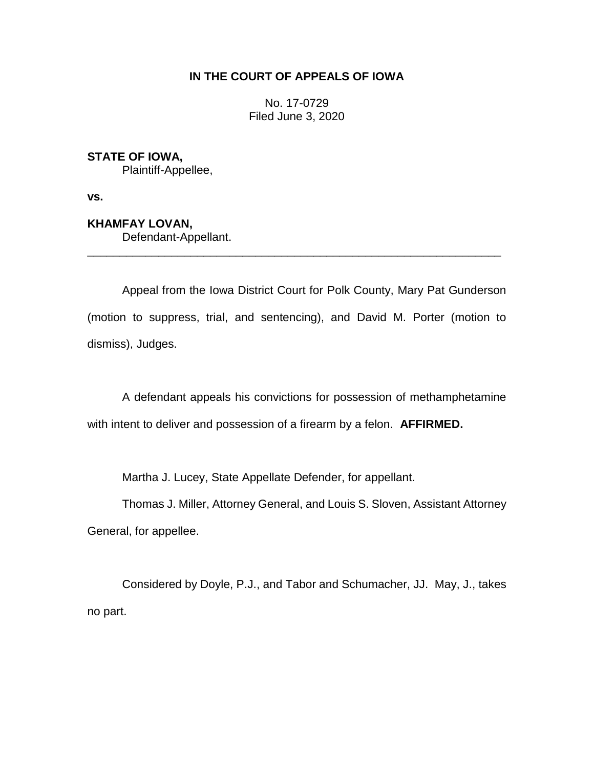# **IN THE COURT OF APPEALS OF IOWA**

No. 17-0729 Filed June 3, 2020

# **STATE OF IOWA,**

Plaintiff-Appellee,

**vs.**

# **KHAMFAY LOVAN,**

Defendant-Appellant.

Appeal from the Iowa District Court for Polk County, Mary Pat Gunderson (motion to suppress, trial, and sentencing), and David M. Porter (motion to dismiss), Judges.

\_\_\_\_\_\_\_\_\_\_\_\_\_\_\_\_\_\_\_\_\_\_\_\_\_\_\_\_\_\_\_\_\_\_\_\_\_\_\_\_\_\_\_\_\_\_\_\_\_\_\_\_\_\_\_\_\_\_\_\_\_\_\_\_

A defendant appeals his convictions for possession of methamphetamine with intent to deliver and possession of a firearm by a felon. **AFFIRMED.**

Martha J. Lucey, State Appellate Defender, for appellant.

Thomas J. Miller, Attorney General, and Louis S. Sloven, Assistant Attorney General, for appellee.

Considered by Doyle, P.J., and Tabor and Schumacher, JJ. May, J., takes no part.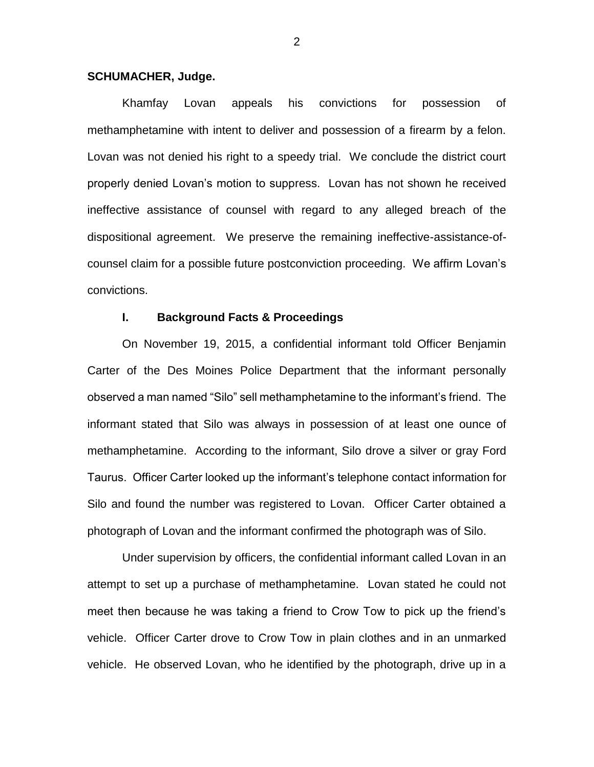#### **SCHUMACHER, Judge.**

Khamfay Lovan appeals his convictions for possession of methamphetamine with intent to deliver and possession of a firearm by a felon. Lovan was not denied his right to a speedy trial. We conclude the district court properly denied Lovan's motion to suppress. Lovan has not shown he received ineffective assistance of counsel with regard to any alleged breach of the dispositional agreement. We preserve the remaining ineffective-assistance-ofcounsel claim for a possible future postconviction proceeding. We affirm Lovan's convictions.

## **I. Background Facts & Proceedings**

On November 19, 2015, a confidential informant told Officer Benjamin Carter of the Des Moines Police Department that the informant personally observed a man named "Silo" sell methamphetamine to the informant's friend. The informant stated that Silo was always in possession of at least one ounce of methamphetamine. According to the informant, Silo drove a silver or gray Ford Taurus. Officer Carter looked up the informant's telephone contact information for Silo and found the number was registered to Lovan. Officer Carter obtained a photograph of Lovan and the informant confirmed the photograph was of Silo.

Under supervision by officers, the confidential informant called Lovan in an attempt to set up a purchase of methamphetamine. Lovan stated he could not meet then because he was taking a friend to Crow Tow to pick up the friend's vehicle. Officer Carter drove to Crow Tow in plain clothes and in an unmarked vehicle. He observed Lovan, who he identified by the photograph, drive up in a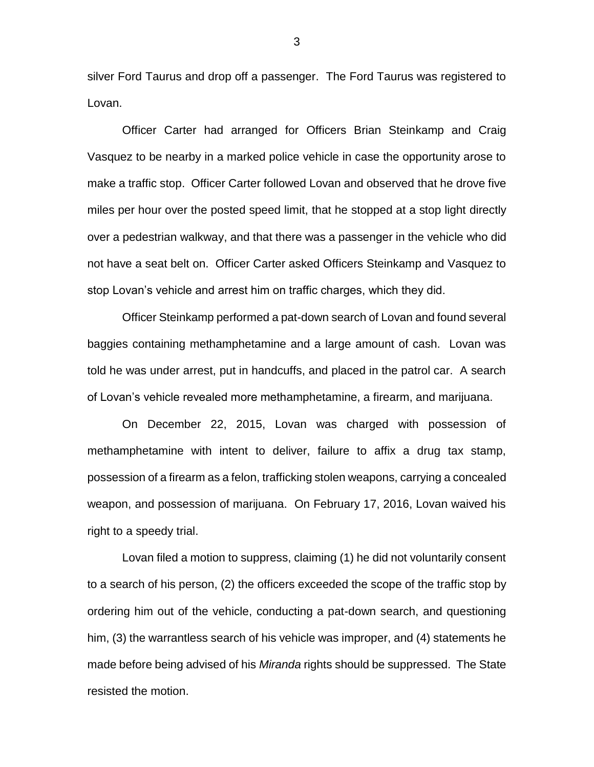silver Ford Taurus and drop off a passenger. The Ford Taurus was registered to Lovan.

Officer Carter had arranged for Officers Brian Steinkamp and Craig Vasquez to be nearby in a marked police vehicle in case the opportunity arose to make a traffic stop. Officer Carter followed Lovan and observed that he drove five miles per hour over the posted speed limit, that he stopped at a stop light directly over a pedestrian walkway, and that there was a passenger in the vehicle who did not have a seat belt on. Officer Carter asked Officers Steinkamp and Vasquez to stop Lovan's vehicle and arrest him on traffic charges, which they did.

Officer Steinkamp performed a pat-down search of Lovan and found several baggies containing methamphetamine and a large amount of cash. Lovan was told he was under arrest, put in handcuffs, and placed in the patrol car. A search of Lovan's vehicle revealed more methamphetamine, a firearm, and marijuana.

On December 22, 2015, Lovan was charged with possession of methamphetamine with intent to deliver, failure to affix a drug tax stamp, possession of a firearm as a felon, trafficking stolen weapons, carrying a concealed weapon, and possession of marijuana. On February 17, 2016, Lovan waived his right to a speedy trial.

Lovan filed a motion to suppress, claiming (1) he did not voluntarily consent to a search of his person, (2) the officers exceeded the scope of the traffic stop by ordering him out of the vehicle, conducting a pat-down search, and questioning him, (3) the warrantless search of his vehicle was improper, and (4) statements he made before being advised of his *Miranda* rights should be suppressed. The State resisted the motion.

3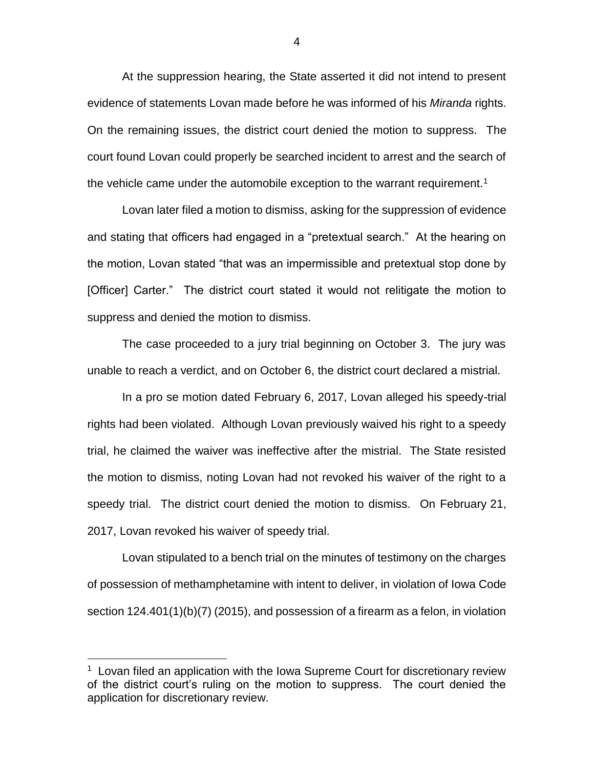At the suppression hearing, the State asserted it did not intend to present evidence of statements Lovan made before he was informed of his *Miranda* rights. On the remaining issues, the district court denied the motion to suppress. The court found Lovan could properly be searched incident to arrest and the search of the vehicle came under the automobile exception to the warrant requirement.<sup>1</sup>

Lovan later filed a motion to dismiss, asking for the suppression of evidence and stating that officers had engaged in a "pretextual search." At the hearing on the motion, Lovan stated "that was an impermissible and pretextual stop done by [Officer] Carter." The district court stated it would not relitigate the motion to suppress and denied the motion to dismiss.

The case proceeded to a jury trial beginning on October 3. The jury was unable to reach a verdict, and on October 6, the district court declared a mistrial.

In a pro se motion dated February 6, 2017, Lovan alleged his speedy-trial rights had been violated. Although Lovan previously waived his right to a speedy trial, he claimed the waiver was ineffective after the mistrial. The State resisted the motion to dismiss, noting Lovan had not revoked his waiver of the right to a speedy trial. The district court denied the motion to dismiss. On February 21, 2017, Lovan revoked his waiver of speedy trial.

Lovan stipulated to a bench trial on the minutes of testimony on the charges of possession of methamphetamine with intent to deliver, in violation of Iowa Code section 124.401(1)(b)(7) (2015), and possession of a firearm as a felon, in violation

 $\overline{a}$ 

4

<sup>&</sup>lt;sup>1</sup> Lovan filed an application with the Iowa Supreme Court for discretionary review of the district court's ruling on the motion to suppress. The court denied the application for discretionary review.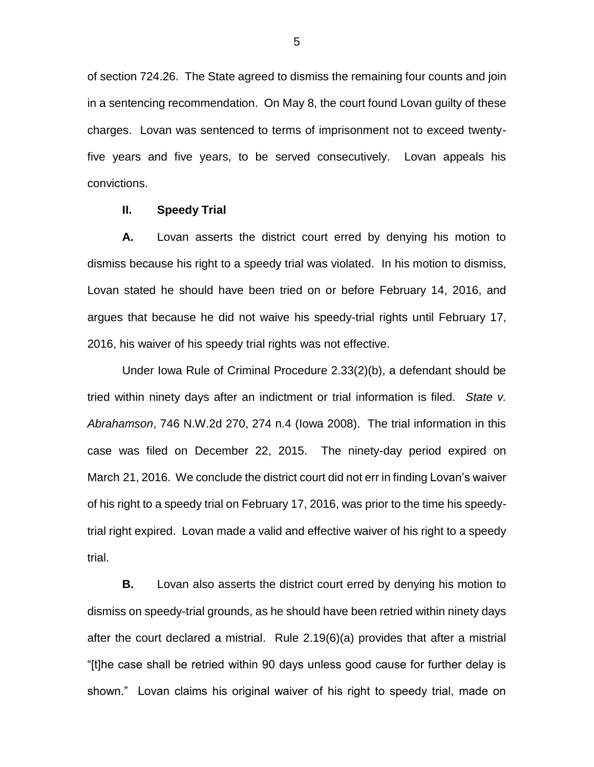of section 724.26. The State agreed to dismiss the remaining four counts and join in a sentencing recommendation. On May 8, the court found Lovan guilty of these charges. Lovan was sentenced to terms of imprisonment not to exceed twentyfive years and five years, to be served consecutively. Lovan appeals his convictions.

## **II. Speedy Trial**

**A.** Lovan asserts the district court erred by denying his motion to dismiss because his right to a speedy trial was violated. In his motion to dismiss, Lovan stated he should have been tried on or before February 14, 2016, and argues that because he did not waive his speedy-trial rights until February 17, 2016, his waiver of his speedy trial rights was not effective.

Under Iowa Rule of Criminal Procedure 2.33(2)(b), a defendant should be tried within ninety days after an indictment or trial information is filed. *State v. Abrahamson*, 746 N.W.2d 270, 274 n.4 (Iowa 2008). The trial information in this case was filed on December 22, 2015. The ninety-day period expired on March 21, 2016. We conclude the district court did not err in finding Lovan's waiver of his right to a speedy trial on February 17, 2016, was prior to the time his speedytrial right expired. Lovan made a valid and effective waiver of his right to a speedy trial.

**B.** Lovan also asserts the district court erred by denying his motion to dismiss on speedy-trial grounds, as he should have been retried within ninety days after the court declared a mistrial. Rule 2.19(6)(a) provides that after a mistrial "[t]he case shall be retried within 90 days unless good cause for further delay is shown." Lovan claims his original waiver of his right to speedy trial, made on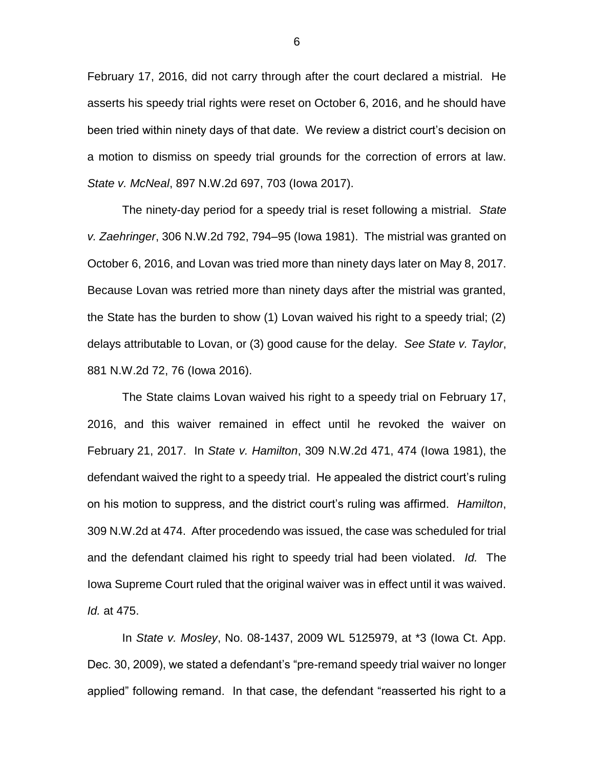February 17, 2016, did not carry through after the court declared a mistrial. He asserts his speedy trial rights were reset on October 6, 2016, and he should have been tried within ninety days of that date. We review a district court's decision on a motion to dismiss on speedy trial grounds for the correction of errors at law. *State v. McNeal*, 897 N.W.2d 697, 703 (Iowa 2017).

The ninety-day period for a speedy trial is reset following a mistrial. *State v. Zaehringer*, 306 N.W.2d 792, 794–95 (Iowa 1981). The mistrial was granted on October 6, 2016, and Lovan was tried more than ninety days later on May 8, 2017. Because Lovan was retried more than ninety days after the mistrial was granted, the State has the burden to show (1) Lovan waived his right to a speedy trial; (2) delays attributable to Lovan, or (3) good cause for the delay. *See State v. Taylor*, 881 N.W.2d 72, 76 (Iowa 2016).

The State claims Lovan waived his right to a speedy trial on February 17, 2016, and this waiver remained in effect until he revoked the waiver on February 21, 2017. In *State v. Hamilton*, 309 N.W.2d 471, 474 (Iowa 1981), the defendant waived the right to a speedy trial. He appealed the district court's ruling on his motion to suppress, and the district court's ruling was affirmed. *Hamilton*, 309 N.W.2d at 474. After procedendo was issued, the case was scheduled for trial and the defendant claimed his right to speedy trial had been violated. *Id.* The Iowa Supreme Court ruled that the original waiver was in effect until it was waived. *Id.* at 475.

In *State v. Mosley*, No. 08-1437, 2009 WL 5125979, at \*3 (Iowa Ct. App. Dec. 30, 2009), we stated a defendant's "pre-remand speedy trial waiver no longer applied" following remand. In that case, the defendant "reasserted his right to a

6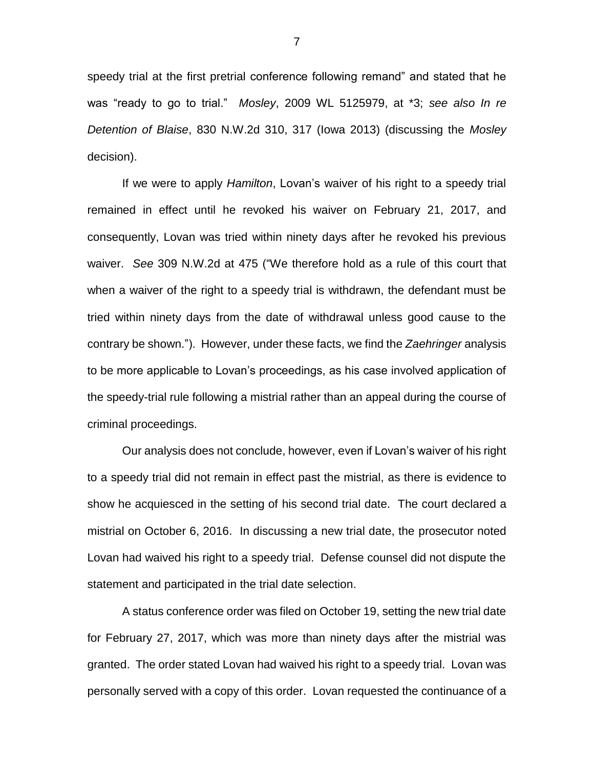speedy trial at the first pretrial conference following remand" and stated that he was "ready to go to trial." *Mosley*, 2009 WL 5125979, at \*3; *see also In re Detention of Blaise*, 830 N.W.2d 310, 317 (Iowa 2013) (discussing the *Mosley* decision).

If we were to apply *Hamilton*, Lovan's waiver of his right to a speedy trial remained in effect until he revoked his waiver on February 21, 2017, and consequently, Lovan was tried within ninety days after he revoked his previous waiver. *See* 309 N.W.2d at 475 ("We therefore hold as a rule of this court that when a waiver of the right to a speedy trial is withdrawn, the defendant must be tried within ninety days from the date of withdrawal unless good cause to the contrary be shown."). However, under these facts, we find the *Zaehringer* analysis to be more applicable to Lovan's proceedings, as his case involved application of the speedy-trial rule following a mistrial rather than an appeal during the course of criminal proceedings.

Our analysis does not conclude, however, even if Lovan's waiver of his right to a speedy trial did not remain in effect past the mistrial, as there is evidence to show he acquiesced in the setting of his second trial date. The court declared a mistrial on October 6, 2016. In discussing a new trial date, the prosecutor noted Lovan had waived his right to a speedy trial. Defense counsel did not dispute the statement and participated in the trial date selection.

A status conference order was filed on October 19, setting the new trial date for February 27, 2017, which was more than ninety days after the mistrial was granted. The order stated Lovan had waived his right to a speedy trial. Lovan was personally served with a copy of this order. Lovan requested the continuance of a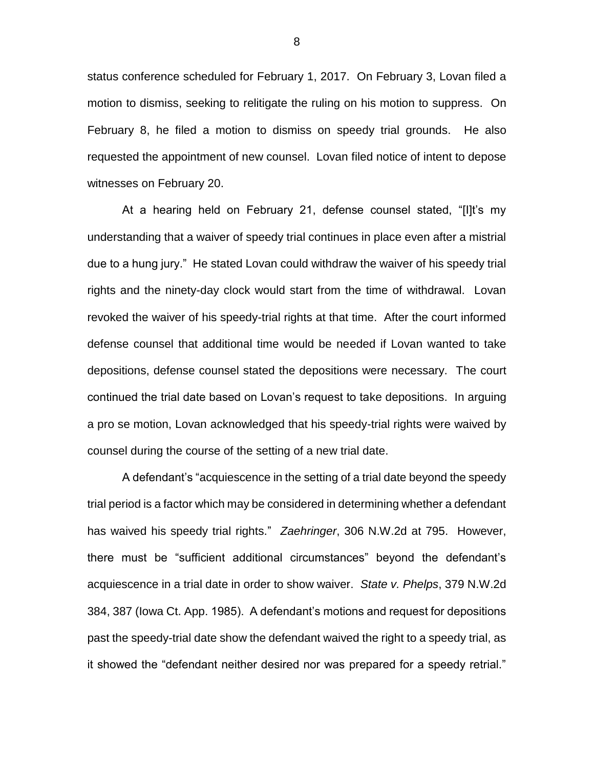status conference scheduled for February 1, 2017. On February 3, Lovan filed a motion to dismiss, seeking to relitigate the ruling on his motion to suppress. On February 8, he filed a motion to dismiss on speedy trial grounds. He also requested the appointment of new counsel. Lovan filed notice of intent to depose witnesses on February 20.

At a hearing held on February 21, defense counsel stated, "[I]t's my understanding that a waiver of speedy trial continues in place even after a mistrial due to a hung jury." He stated Lovan could withdraw the waiver of his speedy trial rights and the ninety-day clock would start from the time of withdrawal. Lovan revoked the waiver of his speedy-trial rights at that time. After the court informed defense counsel that additional time would be needed if Lovan wanted to take depositions, defense counsel stated the depositions were necessary. The court continued the trial date based on Lovan's request to take depositions. In arguing a pro se motion, Lovan acknowledged that his speedy-trial rights were waived by counsel during the course of the setting of a new trial date.

A defendant's "acquiescence in the setting of a trial date beyond the speedy trial period is a factor which may be considered in determining whether a defendant has waived his speedy trial rights." *Zaehringer*, 306 N.W.2d at 795. However, there must be "sufficient additional circumstances" beyond the defendant's acquiescence in a trial date in order to show waiver. *State v. Phelps*, 379 N.W.2d 384, 387 (Iowa Ct. App. 1985). A defendant's motions and request for depositions past the speedy-trial date show the defendant waived the right to a speedy trial, as it showed the "defendant neither desired nor was prepared for a speedy retrial."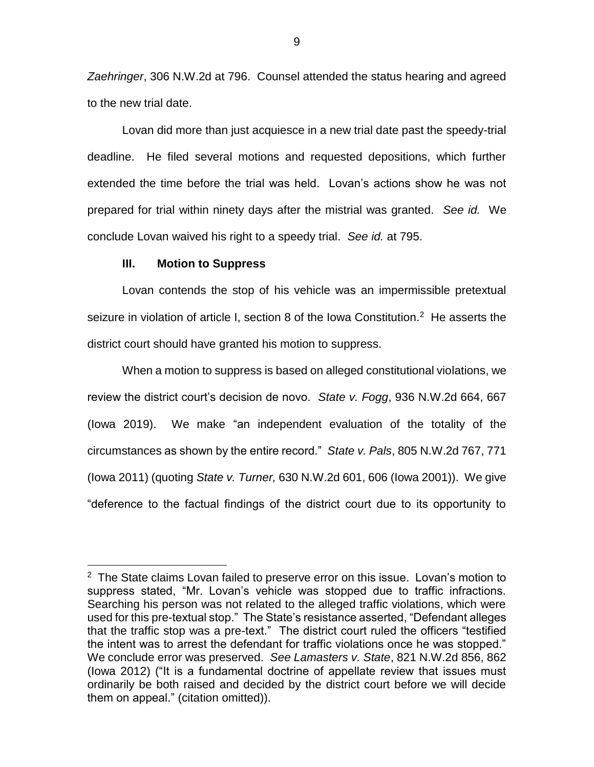*Zaehringer*, 306 N.W.2d at 796. Counsel attended the status hearing and agreed to the new trial date.

Lovan did more than just acquiesce in a new trial date past the speedy-trial deadline. He filed several motions and requested depositions, which further extended the time before the trial was held. Lovan's actions show he was not prepared for trial within ninety days after the mistrial was granted. *See id.* We conclude Lovan waived his right to a speedy trial. *See id.* at 795.

### **III. Motion to Suppress**

 $\overline{a}$ 

Lovan contends the stop of his vehicle was an impermissible pretextual seizure in violation of article I, section 8 of the Iowa Constitution.<sup>2</sup> He asserts the district court should have granted his motion to suppress.

When a motion to suppress is based on alleged constitutional violations, we review the district court's decision de novo. *State v. Fogg*, 936 N.W.2d 664, 667 (Iowa 2019). We make "an independent evaluation of the totality of the circumstances as shown by the entire record." *State v. Pals*, 805 N.W.2d 767, 771 (Iowa 2011) (quoting *State v. Turner,* 630 N.W.2d 601, 606 (Iowa 2001)). We give "deference to the factual findings of the district court due to its opportunity to

<sup>&</sup>lt;sup>2</sup> The State claims Lovan failed to preserve error on this issue. Lovan's motion to suppress stated, "Mr. Lovan's vehicle was stopped due to traffic infractions. Searching his person was not related to the alleged traffic violations, which were used for this pre-textual stop." The State's resistance asserted, "Defendant alleges that the traffic stop was a pre-text." The district court ruled the officers "testified the intent was to arrest the defendant for traffic violations once he was stopped." We conclude error was preserved. *See Lamasters v. State*, 821 N.W.2d 856, 862 (Iowa 2012) ("It is a fundamental doctrine of appellate review that issues must ordinarily be both raised and decided by the district court before we will decide them on appeal." (citation omitted)).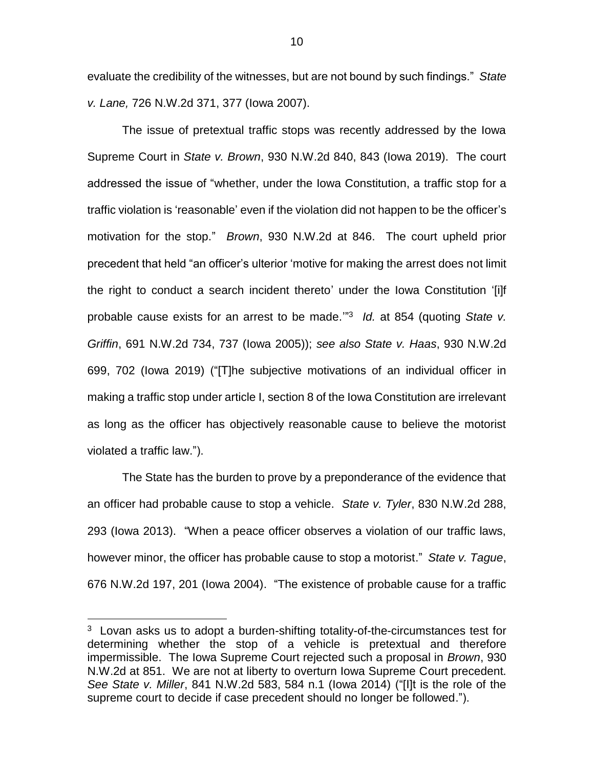evaluate the credibility of the witnesses, but are not bound by such findings." *State v. Lane,* 726 N.W.2d 371, 377 (Iowa 2007).

The issue of pretextual traffic stops was recently addressed by the Iowa Supreme Court in *State v. Brown*, 930 N.W.2d 840, 843 (Iowa 2019). The court addressed the issue of "whether, under the Iowa Constitution, a traffic stop for a traffic violation is 'reasonable' even if the violation did not happen to be the officer's motivation for the stop." *Brown*, 930 N.W.2d at 846. The court upheld prior precedent that held "an officer's ulterior 'motive for making the arrest does not limit the right to conduct a search incident thereto' under the Iowa Constitution '[i]f probable cause exists for an arrest to be made.'" 3 *Id.* at 854 (quoting *State v. Griffin*, 691 N.W.2d 734, 737 (Iowa 2005)); *see also State v. Haas*, 930 N.W.2d 699, 702 (Iowa 2019) ("[T]he subjective motivations of an individual officer in making a traffic stop under article I, section 8 of the Iowa Constitution are irrelevant as long as the officer has objectively reasonable cause to believe the motorist violated a traffic law.").

The State has the burden to prove by a preponderance of the evidence that an officer had probable cause to stop a vehicle. *State v. Tyler*, 830 N.W.2d 288, 293 (Iowa 2013). "When a peace officer observes a violation of our traffic laws, however minor, the officer has probable cause to stop a motorist." *State v. Tague*, 676 N.W.2d 197, 201 (Iowa 2004). "The existence of probable cause for a traffic

 $\overline{a}$ 

 $3$  Lovan asks us to adopt a burden-shifting totality-of-the-circumstances test for determining whether the stop of a vehicle is pretextual and therefore impermissible. The Iowa Supreme Court rejected such a proposal in *Brown*, 930 N.W.2d at 851. We are not at liberty to overturn Iowa Supreme Court precedent. *See State v. Miller*, 841 N.W.2d 583, 584 n.1 (Iowa 2014) ("[I]t is the role of the supreme court to decide if case precedent should no longer be followed.").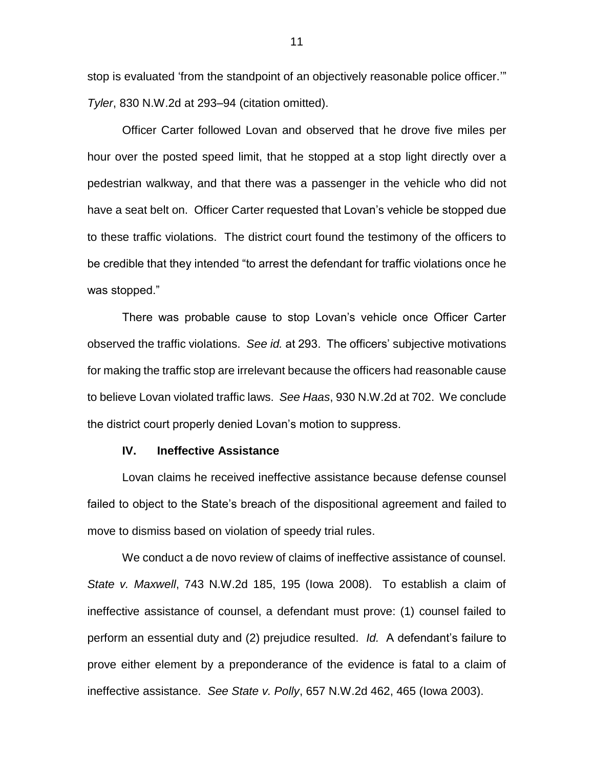stop is evaluated 'from the standpoint of an objectively reasonable police officer.'" *Tyler*, 830 N.W.2d at 293–94 (citation omitted).

Officer Carter followed Lovan and observed that he drove five miles per hour over the posted speed limit, that he stopped at a stop light directly over a pedestrian walkway, and that there was a passenger in the vehicle who did not have a seat belt on. Officer Carter requested that Lovan's vehicle be stopped due to these traffic violations. The district court found the testimony of the officers to be credible that they intended "to arrest the defendant for traffic violations once he was stopped."

There was probable cause to stop Lovan's vehicle once Officer Carter observed the traffic violations. *See id.* at 293. The officers' subjective motivations for making the traffic stop are irrelevant because the officers had reasonable cause to believe Lovan violated traffic laws. *See Haas*, 930 N.W.2d at 702. We conclude the district court properly denied Lovan's motion to suppress.

#### **IV. Ineffective Assistance**

Lovan claims he received ineffective assistance because defense counsel failed to object to the State's breach of the dispositional agreement and failed to move to dismiss based on violation of speedy trial rules.

We conduct a de novo review of claims of ineffective assistance of counsel. *State v. Maxwell*, 743 N.W.2d 185, 195 (Iowa 2008). To establish a claim of ineffective assistance of counsel, a defendant must prove: (1) counsel failed to perform an essential duty and (2) prejudice resulted. *Id.* A defendant's failure to prove either element by a preponderance of the evidence is fatal to a claim of ineffective assistance. *See State v. Polly*, 657 N.W.2d 462, 465 (Iowa 2003).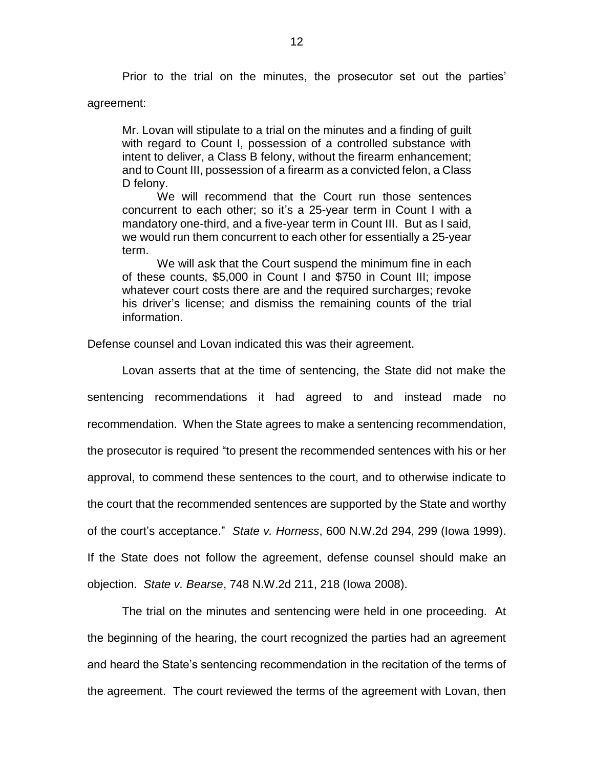Prior to the trial on the minutes, the prosecutor set out the parties'

agreement:

Mr. Lovan will stipulate to a trial on the minutes and a finding of guilt with regard to Count I, possession of a controlled substance with intent to deliver, a Class B felony, without the firearm enhancement; and to Count III, possession of a firearm as a convicted felon, a Class D felony.

We will recommend that the Court run those sentences concurrent to each other; so it's a 25-year term in Count I with a mandatory one-third, and a five-year term in Count III. But as I said, we would run them concurrent to each other for essentially a 25-year term.

We will ask that the Court suspend the minimum fine in each of these counts, \$5,000 in Count I and \$750 in Count III; impose whatever court costs there are and the required surcharges; revoke his driver's license; and dismiss the remaining counts of the trial information.

Defense counsel and Lovan indicated this was their agreement.

Lovan asserts that at the time of sentencing, the State did not make the sentencing recommendations it had agreed to and instead made no recommendation. When the State agrees to make a sentencing recommendation, the prosecutor is required "to present the recommended sentences with his or her approval, to commend these sentences to the court, and to otherwise indicate to the court that the recommended sentences are supported by the State and worthy of the court's acceptance." *State v. Horness*, 600 N.W.2d 294, 299 (Iowa 1999). If the State does not follow the agreement, defense counsel should make an objection. *State v. Bearse*, 748 N.W.2d 211, 218 (Iowa 2008).

The trial on the minutes and sentencing were held in one proceeding. At the beginning of the hearing, the court recognized the parties had an agreement and heard the State's sentencing recommendation in the recitation of the terms of the agreement. The court reviewed the terms of the agreement with Lovan, then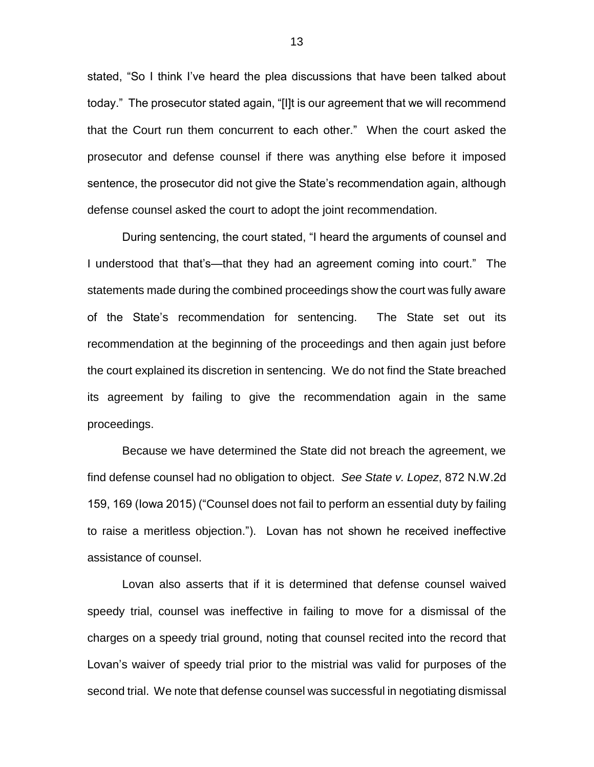stated, "So I think I've heard the plea discussions that have been talked about today." The prosecutor stated again, "[I]t is our agreement that we will recommend that the Court run them concurrent to each other." When the court asked the prosecutor and defense counsel if there was anything else before it imposed sentence, the prosecutor did not give the State's recommendation again, although defense counsel asked the court to adopt the joint recommendation.

During sentencing, the court stated, "I heard the arguments of counsel and I understood that that's—that they had an agreement coming into court." The statements made during the combined proceedings show the court was fully aware of the State's recommendation for sentencing. The State set out its recommendation at the beginning of the proceedings and then again just before the court explained its discretion in sentencing. We do not find the State breached its agreement by failing to give the recommendation again in the same proceedings.

Because we have determined the State did not breach the agreement, we find defense counsel had no obligation to object. *See State v. Lopez*, 872 N.W.2d 159, 169 (Iowa 2015) ("Counsel does not fail to perform an essential duty by failing to raise a meritless objection."). Lovan has not shown he received ineffective assistance of counsel.

Lovan also asserts that if it is determined that defense counsel waived speedy trial, counsel was ineffective in failing to move for a dismissal of the charges on a speedy trial ground, noting that counsel recited into the record that Lovan's waiver of speedy trial prior to the mistrial was valid for purposes of the second trial. We note that defense counsel was successful in negotiating dismissal